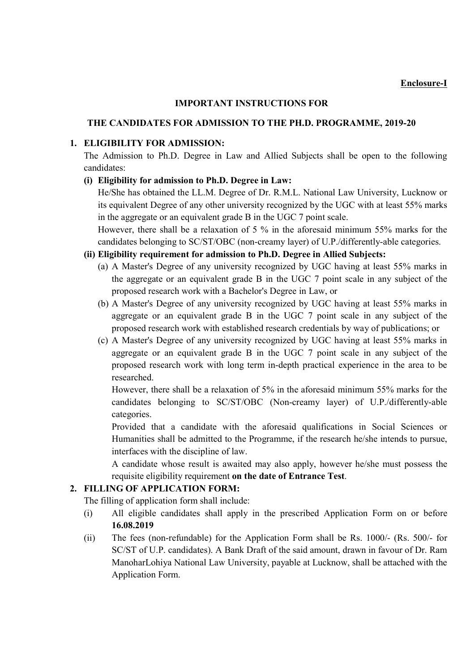## IMPORTANT INSTRUCTIONS FOR

## THE CANDIDATES FOR ADMISSION TO THE PH.D. PROGRAMME, 2019-20

## 1. ELIGIBILITY FOR ADMISSION:

The Admission to Ph.D. Degree in Law and Allied Subjects shall be open to the following candidates:

## (i) Eligibility for admission to Ph.D. Degree in Law:

He/She has obtained the LL.M. Degree of Dr. R.M.L. National Law University, Lucknow or its equivalent Degree of any other university recognized by the UGC with at least 55% marks in the aggregate or an equivalent grade B in the UGC 7 point scale.

However, there shall be a relaxation of 5 % in the aforesaid minimum 55% marks for the candidates belonging to SC/ST/OBC (non-creamy layer) of U.P./differently-able categories.

## (ii) Eligibility requirement for admission to Ph.D. Degree in Allied Subjects:

- (a) A Master's Degree of any university recognized by UGC having at least 55% marks in the aggregate or an equivalent grade B in the UGC 7 point scale in any subject of the proposed research work with a Bachelor's Degree in Law, or
- (b) A Master's Degree of any university recognized by UGC having at least 55% marks in aggregate or an equivalent grade B in the UGC 7 point scale in any subject of the proposed research work with established research credentials by way of publications; or
- (c) A Master's Degree of any university recognized by UGC having at least 55% marks in aggregate or an equivalent grade B in the UGC 7 point scale in any subject of the proposed research work with long term in-depth practical experience in the area to be researched.

However, there shall be a relaxation of 5% in the aforesaid minimum 55% marks for the candidates belonging to SC/ST/OBC (Non-creamy layer) of U.P./differently-able categories.

Provided that a candidate with the aforesaid qualifications in Social Sciences or Humanities shall be admitted to the Programme, if the research he/she intends to pursue, interfaces with the discipline of law.

A candidate whose result is awaited may also apply, however he/she must possess the requisite eligibility requirement on the date of Entrance Test.

## 2. FILLING OF APPLICATION FORM:

The filling of application form shall include:

- (i) All eligible candidates shall apply in the prescribed Application Form on or before 16.08.2019
- (ii) The fees (non-refundable) for the Application Form shall be Rs. 1000/- (Rs. 500/- for SC/ST of U.P. candidates). A Bank Draft of the said amount, drawn in favour of Dr. Ram ManoharLohiya National Law University, payable at Lucknow, shall be attached with the Application Form.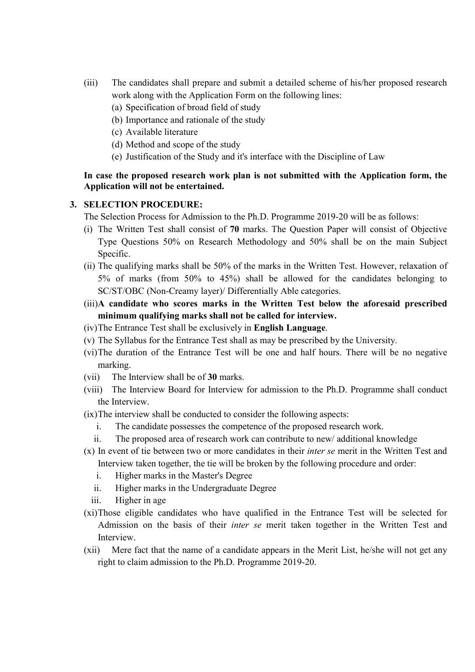- (iii) The candidates shall prepare and submit a detailed scheme of his/her proposed research work along with the Application Form on the following lines:
	- (a) Specification of broad field of study
	- (b) Importance and rationale of the study
	- (c) Available literature
	- (d) Method and scope of the study
	- (e) Justification of the Study and it's interface with the Discipline of Law

## In case the proposed research work plan is not submitted with the Application form, the Application will not be entertained.

#### 3. SELECTION PROCEDURE:

The Selection Process for Admission to the Ph.D. Programme 2019-20 will be as follows:

- (i) The Written Test shall consist of 70 marks. The Question Paper will consist of Objective Type Questions 50% on Research Methodology and 50% shall be on the main Subject Specific.
- (ii) The qualifying marks shall be 50% of the marks in the Written Test. However, relaxation of 5% of marks (from 50% to 45%) shall be allowed for the candidates belonging to SC/ST/OBC (Non-Creamy layer)/ Differentially Able categories.
- (iii)A candidate who scores marks in the Written Test below the aforesaid prescribed minimum qualifying marks shall not be called for interview.
- (iv)The Entrance Test shall be exclusively in English Language.
- (v) The Syllabus for the Entrance Test shall as may be prescribed by the University.
- (vi)The duration of the Entrance Test will be one and half hours. There will be no negative marking.
- (vii) The Interview shall be of 30 marks.
- (viii) The Interview Board for Interview for admission to the Ph.D. Programme shall conduct the Interview.
- (ix)The interview shall be conducted to consider the following aspects:
	- i. The candidate possesses the competence of the proposed research work.
	- ii. The proposed area of research work can contribute to new/ additional knowledge
- (x) In event of tie between two or more candidates in their inter se merit in the Written Test and Interview taken together, the tie will be broken by the following procedure and order:
	- i. Higher marks in the Master's Degree
	- ii. Higher marks in the Undergraduate Degree
	- iii. Higher in age
- (xi)Those eligible candidates who have qualified in the Entrance Test will be selected for Admission on the basis of their inter se merit taken together in the Written Test and Interview.
- (xii) Mere fact that the name of a candidate appears in the Merit List, he/she will not get any right to claim admission to the Ph.D. Programme 2019-20.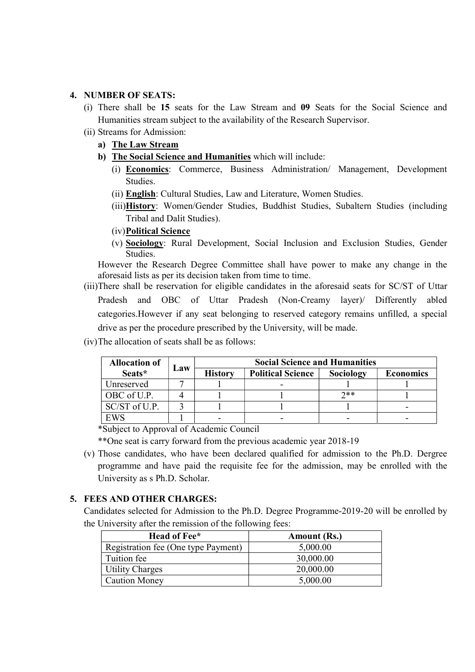## 4. NUMBER OF SEATS:

- (i) There shall be 15 seats for the Law Stream and 09 Seats for the Social Science and Humanities stream subject to the availability of the Research Supervisor.
- (ii) Streams for Admission:
	- a) The Law Stream
	- b) The Social Science and Humanities which will include:
		- (i) Economics: Commerce, Business Administration/ Management, Development Studies.
		- (ii) English: Cultural Studies, Law and Literature, Women Studies.
		- (iii)History: Women/Gender Studies, Buddhist Studies, Subaltern Studies (including Tribal and Dalit Studies).
		- (iv)Political Science
		- (v) Sociology: Rural Development, Social Inclusion and Exclusion Studies, Gender **Studies**

However the Research Degree Committee shall have power to make any change in the aforesaid lists as per its decision taken from time to time.

- (iii)There shall be reservation for eligible candidates in the aforesaid seats for SC/ST of Uttar Pradesh and OBC of Uttar Pradesh (Non-Creamy layer)/ Differently abled categories.However if any seat belonging to reserved category remains unfilled, a special drive as per the procedure prescribed by the University, will be made.
- (iv)The allocation of seats shall be as follows:

| <b>Allocation of</b> |     | <b>Social Science and Humanities</b> |                          |           |                  |
|----------------------|-----|--------------------------------------|--------------------------|-----------|------------------|
| Seats*               | Law | <b>History</b>                       | <b>Political Science</b> | Sociology | <b>Economics</b> |
| Unreserved           |     |                                      |                          |           |                  |
| OBC of U.P.          |     |                                      |                          | $7**$     |                  |
| $SC/ST$ of U.P.      |     |                                      |                          |           |                  |
| <b>EWS</b>           |     |                                      |                          |           |                  |

\*Subject to Approval of Academic Council

\*\*One seat is carry forward from the previous academic year 2018-19

(v) Those candidates, who have been declared qualified for admission to the Ph.D. Dergree programme and have paid the requisite fee for the admission, may be enrolled with the University as s Ph.D. Scholar.

#### 5. FEES AND OTHER CHARGES:

Candidates selected for Admission to the Ph.D. Degree Programme-2019-20 will be enrolled by the University after the remission of the following fees:

| Head of Fee*                        | Amount (Rs.) |  |  |
|-------------------------------------|--------------|--|--|
| Registration fee (One type Payment) | 5,000.00     |  |  |
| Tuition fee                         | 30,000.00    |  |  |
| <b>Utility Charges</b>              | 20,000.00    |  |  |
| <b>Caution Money</b>                | 5,000.00     |  |  |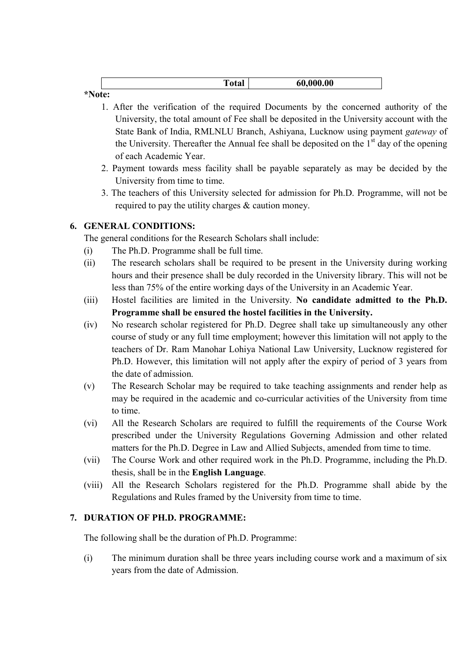|       | vtai | ,000.00<br>61 |
|-------|------|---------------|
| .9.77 |      |               |

## \*Note:

- 1. After the verification of the required Documents by the concerned authority of the University, the total amount of Fee shall be deposited in the University account with the State Bank of India, RMLNLU Branch, Ashiyana, Lucknow using payment gateway of the University. Thereafter the Annual fee shall be deposited on the  $1<sup>st</sup>$  day of the opening of each Academic Year.
- 2. Payment towards mess facility shall be payable separately as may be decided by the University from time to time.
- 3. The teachers of this University selected for admission for Ph.D. Programme, will not be required to pay the utility charges & caution money.

# 6. GENERAL CONDITIONS:

The general conditions for the Research Scholars shall include:

- (i) The Ph.D. Programme shall be full time.
- (ii) The research scholars shall be required to be present in the University during working hours and their presence shall be duly recorded in the University library. This will not be less than 75% of the entire working days of the University in an Academic Year.
- (iii) Hostel facilities are limited in the University. No candidate admitted to the Ph.D. Programme shall be ensured the hostel facilities in the University.
- (iv) No research scholar registered for Ph.D. Degree shall take up simultaneously any other course of study or any full time employment; however this limitation will not apply to the teachers of Dr. Ram Manohar Lohiya National Law University, Lucknow registered for Ph.D. However, this limitation will not apply after the expiry of period of 3 years from the date of admission.
- (v) The Research Scholar may be required to take teaching assignments and render help as may be required in the academic and co-curricular activities of the University from time to time.
- (vi) All the Research Scholars are required to fulfill the requirements of the Course Work prescribed under the University Regulations Governing Admission and other related matters for the Ph.D. Degree in Law and Allied Subjects, amended from time to time.
- (vii) The Course Work and other required work in the Ph.D. Programme, including the Ph.D. thesis, shall be in the English Language.
- (viii) All the Research Scholars registered for the Ph.D. Programme shall abide by the Regulations and Rules framed by the University from time to time.

## 7. DURATION OF PH.D. PROGRAMME:

The following shall be the duration of Ph.D. Programme:

(i) The minimum duration shall be three years including course work and a maximum of six years from the date of Admission.